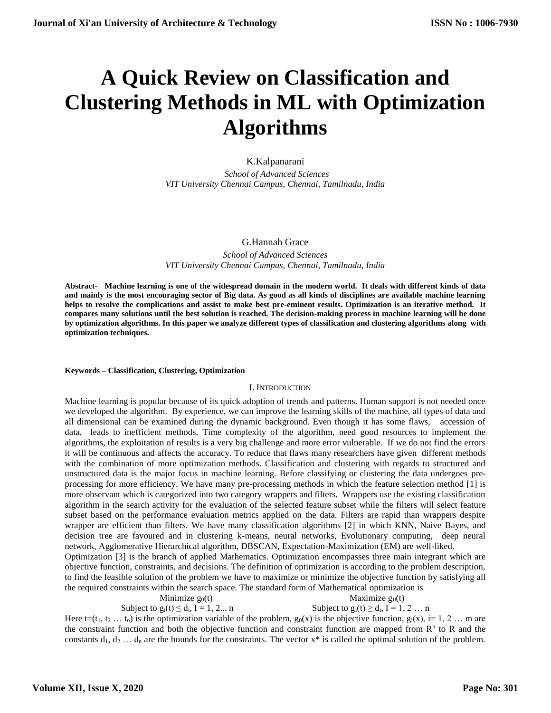# **A Quick Review on Classification and Clustering Methods in ML with Optimization Algorithms**

## K.Kalpanarani

 *School of Advanced Sciences VIT University Chennai Campus, Chennai, Tamilnadu, India*

## G.Hannah Grace

*School of Advanced Sciences VIT University Chennai Campus, Chennai, Tamilnadu, India*

**Abstract- Machine learning is one of the widespread domain in the modern world. It deals with different kinds of data and mainly is the most encouraging sector of Big data. As good as all kinds of disciplines are available machine learning helps to resolve the complications and assist to make best pre-eminent results. Optimization is an iterative method. It compares many solutions until the best solution is reached. The decision-making process in machine learning will be done by optimization algorithms. In this paper we analyze different types of classification and clustering algorithms along with optimization techniques.**

#### **Keywords – Classification, Clustering, Optimization**

#### I. INTRODUCTION

Machine learning is popular because of its quick adoption of trends and patterns. Human support is not needed once we developed the algorithm. By experience, we can improve the learning skills of the machine, all types of data and all dimensional can be examined during the dynamic background. Even though it has some flaws, accession of data, leads to inefficient methods, Time complexity of the algorithm, need good resources to implement the algorithms, the exploitation of results is a very big challenge and more error vulnerable. If we do not find the errors it will be continuous and affects the accuracy. To reduce that flaws many researchers have given different methods with the combination of more optimization methods. Classification and clustering with regards to structured and unstructured data is the major focus in machine learning. Before classifying or clustering the data undergoes preprocessing for more efficiency. We have many pre-processing methods in which the feature selection method [1] is more observant which is categorized into two category wrappers and filters. Wrappers use the existing classification algorithm in the search activity for the evaluation of the selected feature subset while the filters will select feature subset based on the performance evaluation metrics applied on the data. Filters are rapid than wrappers despite wrapper are efficient than filters. We have many classification algorithms [2] in which KNN, Naive Bayes, and decision tree are favoured and in clustering k-means, neural networks, Evolutionary computing, deep neural network, Agglomerative Hierarchical algorithm, DBSCAN, Expectation-Maximization (EM) are well-liked.

Optimization [3] is the branch of applied Mathematics. Optimization encompasses three main integrant which are objective function, constraints, and decisions. The definition of optimization is according to the problem description, to find the feasible solution of the problem we have to maximize or minimize the objective function by satisfying all the required constraints within the search space. The standard form of Mathematical optimization is

#### Minimize  $g_0(t)$  Maximize  $g_0(t)$ Subject to  $g_i(t) \le d_i$ ,  $I = 1, 2...$  n Subject to  $g_i(t) \ge d_i$ ,  $I = 1, 2...$  n

Here  $t=(t_1, t_2 ... t_n)$  is the optimization variable of the problem,  $g_0(x)$  is the objective function,  $g_i(x)$ , i= 1, 2 ... m are the constraint function and both the objective function and constraint function are mapped from  $\mathbb{R}^n$  to  $\mathbb{R}$  and the constants  $d_1, d_2, \ldots, d_n$  are the bounds for the constraints. The vector  $x^*$  is called the optimal solution of the problem.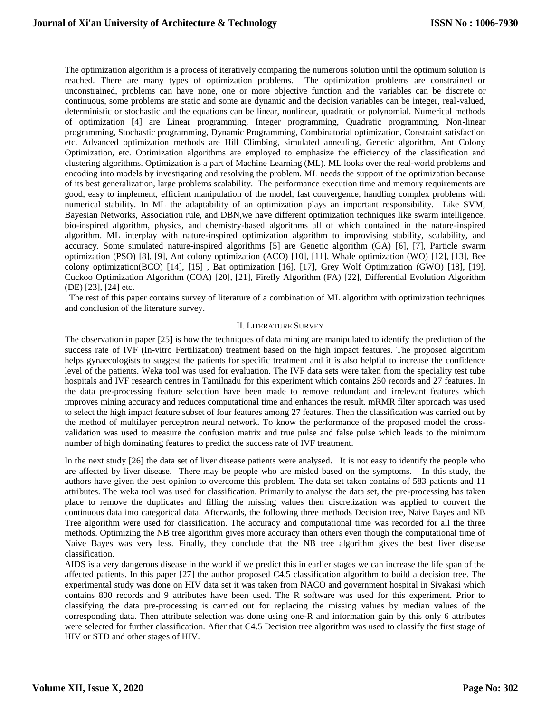The optimization algorithm is a process of iteratively comparing the numerous solution until the optimum solution is reached. There are many types of optimization problems. The optimization problems are constrained or unconstrained, problems can have none, one or more objective function and the variables can be discrete or continuous, some problems are static and some are dynamic and the decision variables can be integer, real-valued, deterministic or stochastic and the equations can be linear, nonlinear, quadratic or polynomial. Numerical methods of optimization [4] are Linear programming, Integer programming, Quadratic programming, Non-linear programming, Stochastic programming, Dynamic Programming, Combinatorial optimization, Constraint satisfaction etc. Advanced optimization methods are Hill Climbing, simulated annealing, Genetic algorithm, Ant Colony Optimization, etc. Optimization algorithms are employed to emphasize the efficiency of the classification and clustering algorithms. Optimization is a part of Machine Learning (ML). ML looks over the real-world problems and encoding into models by investigating and resolving the problem. ML needs the support of the optimization because of its best generalization, large problems scalability. The performance execution time and memory requirements are good, easy to implement, efficient manipulation of the model, fast convergence, handling complex problems with numerical stability. In ML the adaptability of an optimization plays an important responsibility. Like SVM, Bayesian Networks, Association rule, and DBN,we have different optimization techniques like swarm intelligence, bio-inspired algorithm, physics, and chemistry-based algorithms all of which contained in the nature-inspired algorithm. ML interplay with nature-inspired optimization algorithm to improvising stability, scalability, and accuracy. Some simulated nature-inspired algorithms [5] are Genetic algorithm (GA) [6], [7], Particle swarm optimization (PSO) [8], [9], Ant colony optimization (ACO) [10], [11], Whale optimization (WO) [12], [13], Bee colony optimization(BCO) [14], [15] , Bat optimization [16], [17], Grey Wolf Optimization (GWO) [18], [19], Cuckoo Optimization Algorithm (COA) [20], [21], Firefly Algorithm (FA) [22], Differential Evolution Algorithm (DE) [23], [24] etc.

 The rest of this paper contains survey of literature of a combination of ML algorithm with optimization techniques and conclusion of the literature survey.

### II. LITERATURE SURVEY

The observation in paper [25] is how the techniques of data mining are manipulated to identify the prediction of the success rate of IVF (In-vitro Fertilization) treatment based on the high impact features. The proposed algorithm helps gynaecologists to suggest the patients for specific treatment and it is also helpful to increase the confidence level of the patients. Weka tool was used for evaluation. The IVF data sets were taken from the speciality test tube hospitals and IVF research centres in Tamilnadu for this experiment which contains 250 records and 27 features. In the data pre-processing feature selection have been made to remove redundant and irrelevant features which improves mining accuracy and reduces computational time and enhances the result. mRMR filter approach was used to select the high impact feature subset of four features among 27 features. Then the classification was carried out by the method of multilayer perceptron neural network. To know the performance of the proposed model the crossvalidation was used to measure the confusion matrix and true pulse and false pulse which leads to the minimum number of high dominating features to predict the success rate of IVF treatment.

In the next study [26] the data set of liver disease patients were analysed. It is not easy to identify the people who are affected by liver disease. There may be people who are misled based on the symptoms. In this study, the authors have given the best opinion to overcome this problem. The data set taken contains of 583 patients and 11 attributes. The weka tool was used for classification. Primarily to analyse the data set, the pre-processing has taken place to remove the duplicates and filling the missing values then discretization was applied to convert the continuous data into categorical data. Afterwards, the following three methods Decision tree, Naive Bayes and NB Tree algorithm were used for classification. The accuracy and computational time was recorded for all the three methods. Optimizing the NB tree algorithm gives more accuracy than others even though the computational time of Naive Bayes was very less. Finally, they conclude that the NB tree algorithm gives the best liver disease classification.

AIDS is a very dangerous disease in the world if we predict this in earlier stages we can increase the life span of the affected patients. In this paper [27] the author proposed C4.5 classification algorithm to build a decision tree. The experimental study was done on HIV data set it was taken from NACO and government hospital in Sivakasi which contains 800 records and 9 attributes have been used. The R software was used for this experiment. Prior to classifying the data pre-processing is carried out for replacing the missing values by median values of the corresponding data. Then attribute selection was done using one-R and information gain by this only 6 attributes were selected for further classification. After that C4.5 Decision tree algorithm was used to classify the first stage of HIV or STD and other stages of HIV.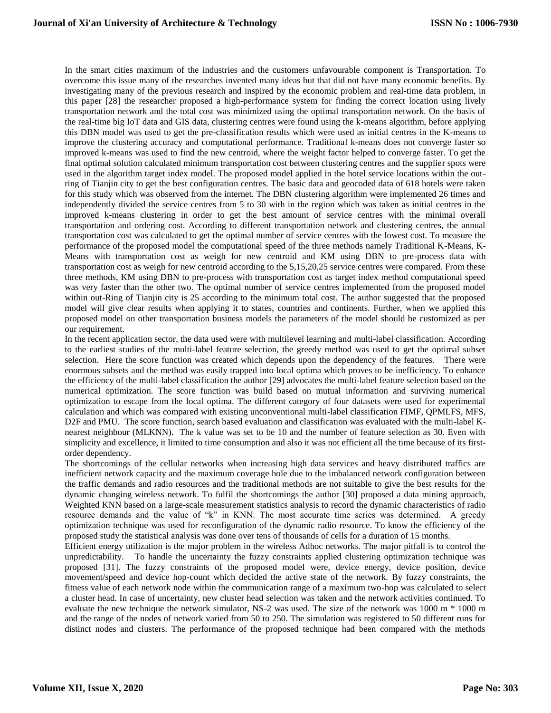In the smart cities maximum of the industries and the customers unfavourable component is Transportation. To overcome this issue many of the researches invented many ideas but that did not have many economic benefits. By investigating many of the previous research and inspired by the economic problem and real-time data problem, in this paper [28] the researcher proposed a high-performance system for finding the correct location using lively transportation network and the total cost was minimized using the optimal transportation network. On the basis of the real-time big IoT data and GIS data, clustering centres were found using the k-means algorithm, before applying this DBN model was used to get the pre-classification results which were used as initial centres in the K-means to improve the clustering accuracy and computational performance. Traditional k-means does not converge faster so improved k-means was used to find the new centroid, where the weight factor helped to converge faster. To get the final optimal solution calculated minimum transportation cost between clustering centres and the supplier spots were used in the algorithm target index model. The proposed model applied in the hotel service locations within the outring of Tianjin city to get the best configuration centres. The basic data and geocoded data of 618 hotels were taken for this study which was observed from the internet. The DBN clustering algorithm were implemented 26 times and independently divided the service centres from 5 to 30 with in the region which was taken as initial centres in the improved k-means clustering in order to get the best amount of service centres with the minimal overall transportation and ordering cost. According to different transportation network and clustering centres, the annual transportation cost was calculated to get the optimal number of service centres with the lowest cost. To measure the performance of the proposed model the computational speed of the three methods namely Traditional K-Means, K-Means with transportation cost as weigh for new centroid and KM using DBN to pre-process data with transportation cost as weigh for new centroid according to the 5,15,20,25 service centres were compared. From these three methods, KM using DBN to pre-process with transportation cost as target index method computational speed was very faster than the other two. The optimal number of service centres implemented from the proposed model within out-Ring of Tianjin city is 25 according to the minimum total cost. The author suggested that the proposed model will give clear results when applying it to states, countries and continents. Further, when we applied this proposed model on other transportation business models the parameters of the model should be customized as per our requirement.

In the recent application sector, the data used were with multilevel learning and multi-label classification. According to the earliest studies of the multi-label feature selection, the greedy method was used to get the optimal subset selection. Here the score function was created which depends upon the dependency of the features. There were enormous subsets and the method was easily trapped into local optima which proves to be inefficiency. To enhance the efficiency of the multi-label classification the author [29] advocates the multi-label feature selection based on the numerical optimization. The score function was build based on mutual information and surviving numerical optimization to escape from the local optima. The different category of four datasets were used for experimental calculation and which was compared with existing unconventional multi-label classification FIMF, QPMLFS, MFS, D2F and PMU. The score function, search based evaluation and classification was evaluated with the multi-label Knearest neighbour (MLKNN). The k value was set to be 10 and the number of feature selection as 30. Even with simplicity and excellence, it limited to time consumption and also it was not efficient all the time because of its firstorder dependency.

The shortcomings of the cellular networks when increasing high data services and heavy distributed traffics are inefficient network capacity and the maximum coverage hole due to the imbalanced network configuration between the traffic demands and radio resources and the traditional methods are not suitable to give the best results for the dynamic changing wireless network. To fulfil the shortcomings the author [30] proposed a data mining approach, Weighted KNN based on a large-scale measurement statistics analysis to record the dynamic characteristics of radio resource demands and the value of "k" in KNN. The most accurate time series was determined. A greedy optimization technique was used for reconfiguration of the dynamic radio resource. To know the efficiency of the proposed study the statistical analysis was done over tens of thousands of cells for a duration of 15 months.

Efficient energy utilization is the major problem in the wireless Adhoc networks. The major pitfall is to control the unpredictability. To handle the uncertainty the fuzzy constraints applied clustering optimization technique was proposed [31]. The fuzzy constraints of the proposed model were, device energy, device position, device movement/speed and device hop-count which decided the active state of the network. By fuzzy constraints, the fitness value of each network node within the communication range of a maximum two-hop was calculated to select a cluster head. In case of uncertainty, new cluster head selection was taken and the network activities continued. To evaluate the new technique the network simulator, NS-2 was used. The size of the network was 1000 m \* 1000 m and the range of the nodes of network varied from 50 to 250. The simulation was registered to 50 different runs for distinct nodes and clusters. The performance of the proposed technique had been compared with the methods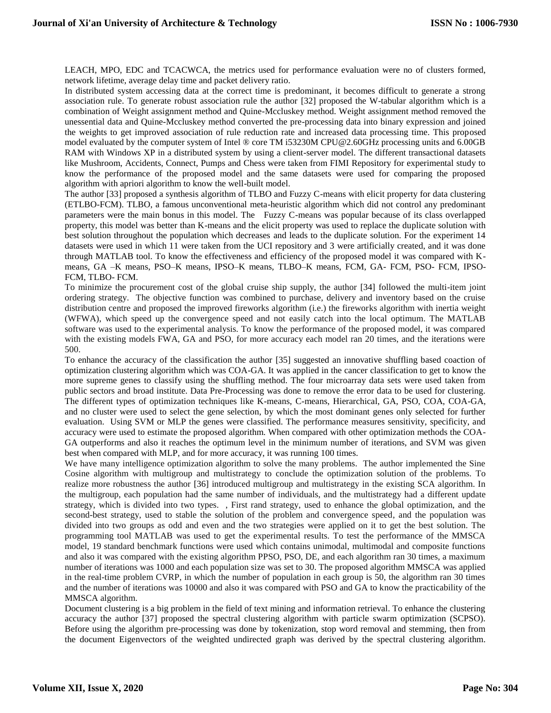LEACH, MPO, EDC and TCACWCA, the metrics used for performance evaluation were no of clusters formed, network lifetime, average delay time and packet delivery ratio.

In distributed system accessing data at the correct time is predominant, it becomes difficult to generate a strong association rule. To generate robust association rule the author [32] proposed the W-tabular algorithm which is a combination of Weight assignment method and Quine-Mccluskey method. Weight assignment method removed the unessential data and Quine-Mccluskey method converted the pre-processing data into binary expression and joined the weights to get improved association of rule reduction rate and increased data processing time. This proposed model evaluated by the computer system of Intel ® core TM i53230M CPU@2.60GHz processing units and 6.00GB RAM with Windows XP in a distributed system by using a client-server model. The different transactional datasets like Mushroom, Accidents, Connect, Pumps and Chess were taken from FIMI Repository for experimental study to know the performance of the proposed model and the same datasets were used for comparing the proposed algorithm with apriori algorithm to know the well-built model.

The author [33] proposed a synthesis algorithm of TLBO and Fuzzy C-means with elicit property for data clustering (ETLBO-FCM). TLBO, a famous unconventional meta-heuristic algorithm which did not control any predominant parameters were the main bonus in this model. The Fuzzy C-means was popular because of its class overlapped property, this model was better than K-means and the elicit property was used to replace the duplicate solution with best solution throughout the population which decreases and leads to the duplicate solution. For the experiment 14 datasets were used in which 11 were taken from the UCI repository and 3 were artificially created, and it was done through MATLAB tool. To know the effectiveness and efficiency of the proposed model it was compared with Kmeans, GA –K means, PSO–K means, IPSO–K means, TLBO–K means, FCM, GA- FCM, PSO- FCM, IPSO-FCM, TLBO- FCM.

To minimize the procurement cost of the global cruise ship supply, the author [34] followed the multi-item joint ordering strategy. The objective function was combined to purchase, delivery and inventory based on the cruise distribution centre and proposed the improved fireworks algorithm (i.e.) the fireworks algorithm with inertia weight (WFWA), which speed up the convergence speed and not easily catch into the local optimum. The MATLAB software was used to the experimental analysis. To know the performance of the proposed model, it was compared with the existing models FWA, GA and PSO, for more accuracy each model ran 20 times, and the iterations were 500.

To enhance the accuracy of the classification the author [35] suggested an innovative shuffling based coaction of optimization clustering algorithm which was COA-GA. It was applied in the cancer classification to get to know the more supreme genes to classify using the shuffling method. The four microarray data sets were used taken from public sectors and broad institute. Data Pre-Processing was done to remove the error data to be used for clustering. The different types of optimization techniques like K-means, C-means, Hierarchical, GA, PSO, COA, COA-GA, and no cluster were used to select the gene selection, by which the most dominant genes only selected for further evaluation. Using SVM or MLP the genes were classified. The performance measures sensitivity, specificity, and accuracy were used to estimate the proposed algorithm. When compared with other optimization methods the COA-GA outperforms and also it reaches the optimum level in the minimum number of iterations, and SVM was given best when compared with MLP, and for more accuracy, it was running 100 times.

We have many intelligence optimization algorithm to solve the many problems. The author implemented the Sine Cosine algorithm with multigroup and multistrategy to conclude the optimization solution of the problems. To realize more robustness the author [36] introduced multigroup and multistrategy in the existing SCA algorithm. In the multigroup, each population had the same number of individuals, and the multistrategy had a different update strategy, which is divided into two types. , First rand strategy, used to enhance the global optimization, and the second-best strategy, used to stable the solution of the problem and convergence speed, and the population was divided into two groups as odd and even and the two strategies were applied on it to get the best solution. The programming tool MATLAB was used to get the experimental results. To test the performance of the MMSCA model, 19 standard benchmark functions were used which contains unimodal, multimodal and composite functions and also it was compared with the existing algorithm PPSO, PSO, DE, and each algorithm ran 30 times, a maximum number of iterations was 1000 and each population size was set to 30. The proposed algorithm MMSCA was applied in the real-time problem CVRP, in which the number of population in each group is 50, the algorithm ran 30 times and the number of iterations was 10000 and also it was compared with PSO and GA to know the practicability of the MMSCA algorithm.

Document clustering is a big problem in the field of text mining and information retrieval. To enhance the clustering accuracy the author [37] proposed the spectral clustering algorithm with particle swarm optimization (SCPSO). Before using the algorithm pre-processing was done by tokenization, stop word removal and stemming, then from the document Eigenvectors of the weighted undirected graph was derived by the spectral clustering algorithm.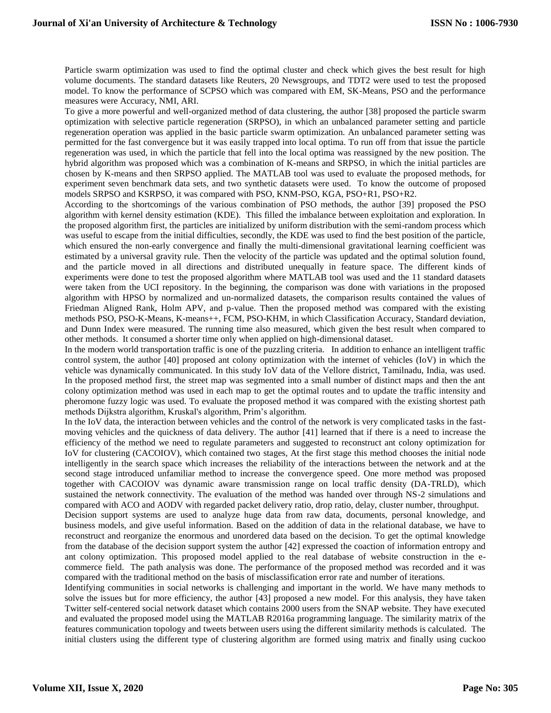Particle swarm optimization was used to find the optimal cluster and check which gives the best result for high volume documents. The standard datasets like Reuters, 20 Newsgroups, and TDT2 were used to test the proposed model. To know the performance of SCPSO which was compared with EM, SK-Means, PSO and the performance measures were Accuracy, NMI, ARI.

To give a more powerful and well-organized method of data clustering, the author [38] proposed the particle swarm optimization with selective particle regeneration (SRPSO), in which an unbalanced parameter setting and particle regeneration operation was applied in the basic particle swarm optimization. An unbalanced parameter setting was permitted for the fast convergence but it was easily trapped into local optima. To run off from that issue the particle regeneration was used, in which the particle that fell into the local optima was reassigned by the new position. The hybrid algorithm was proposed which was a combination of K-means and SRPSO, in which the initial particles are chosen by K-means and then SRPSO applied. The MATLAB tool was used to evaluate the proposed methods, for experiment seven benchmark data sets, and two synthetic datasets were used. To know the outcome of proposed models SRPSO and KSRPSO, it was compared with PSO, KNM-PSO, KGA, PSO+R1, PSO+R2.

According to the shortcomings of the various combination of PSO methods, the author [39] proposed the PSO algorithm with kernel density estimation (KDE). This filled the imbalance between exploitation and exploration. In the proposed algorithm first, the particles are initialized by uniform distribution with the semi-random process which was useful to escape from the initial difficulties, secondly, the KDE was used to find the best position of the particle, which ensured the non-early convergence and finally the multi-dimensional gravitational learning coefficient was estimated by a universal gravity rule. Then the velocity of the particle was updated and the optimal solution found, and the particle moved in all directions and distributed unequally in feature space. The different kinds of experiments were done to test the proposed algorithm where MATLAB tool was used and the 11 standard datasets were taken from the UCI repository. In the beginning, the comparison was done with variations in the proposed algorithm with HPSO by normalized and un-normalized datasets, the comparison results contained the values of Friedman Aligned Rank, Holm APV, and p-value. Then the proposed method was compared with the existing methods PSO, PSO-K-Means, K-means++, FCM, PSO-KHM, in which Classification Accuracy, Standard deviation, and Dunn Index were measured. The running time also measured, which given the best result when compared to other methods. It consumed a shorter time only when applied on high-dimensional dataset.

In the modern world transportation traffic is one of the puzzling criteria. In addition to enhance an intelligent traffic control system, the author [40] proposed ant colony optimization with the internet of vehicles (IoV) in which the vehicle was dynamically communicated. In this study IoV data of the Vellore district, Tamilnadu, India, was used. In the proposed method first, the street map was segmented into a small number of distinct maps and then the ant colony optimization method was used in each map to get the optimal routes and to update the traffic intensity and pheromone fuzzy logic was used. To evaluate the proposed method it was compared with the existing shortest path methods Dijkstra algorithm, Kruskal's algorithm, Prim's algorithm.

In the IoV data, the interaction between vehicles and the control of the network is very complicated tasks in the fastmoving vehicles and the quickness of data delivery. The author [41] learned that if there is a need to increase the efficiency of the method we need to regulate parameters and suggested to reconstruct ant colony optimization for IoV for clustering (CACOIOV), which contained two stages, At the first stage this method chooses the initial node intelligently in the search space which increases the reliability of the interactions between the network and at the second stage introduced unfamiliar method to increase the convergence speed. One more method was proposed together with CACOIOV was dynamic aware transmission range on local traffic density (DA-TRLD), which sustained the network connectivity. The evaluation of the method was handed over through NS-2 simulations and compared with ACO and AODV with regarded packet delivery ratio, drop ratio, delay, cluster number, throughput.

Decision support systems are used to analyze huge data from raw data, documents, personal knowledge, and business models, and give useful information. Based on the addition of data in the relational database, we have to reconstruct and reorganize the enormous and unordered data based on the decision. To get the optimal knowledge from the database of the decision support system the author [42] expressed the coaction of information entropy and ant colony optimization. This proposed model applied to the real database of website construction in the ecommerce field. The path analysis was done. The performance of the proposed method was recorded and it was compared with the traditional method on the basis of misclassification error rate and number of iterations.

Identifying communities in social networks is challenging and important in the world. We have many methods to solve the issues but for more efficiency, the author [43] proposed a new model. For this analysis, they have taken Twitter self-centered social network dataset which contains 2000 users from the SNAP website. They have executed and evaluated the proposed model using the MATLAB R2016a programming language. The similarity matrix of the features communication topology and tweets between users using the different similarity methods is calculated. The initial clusters using the different type of clustering algorithm are formed using matrix and finally using cuckoo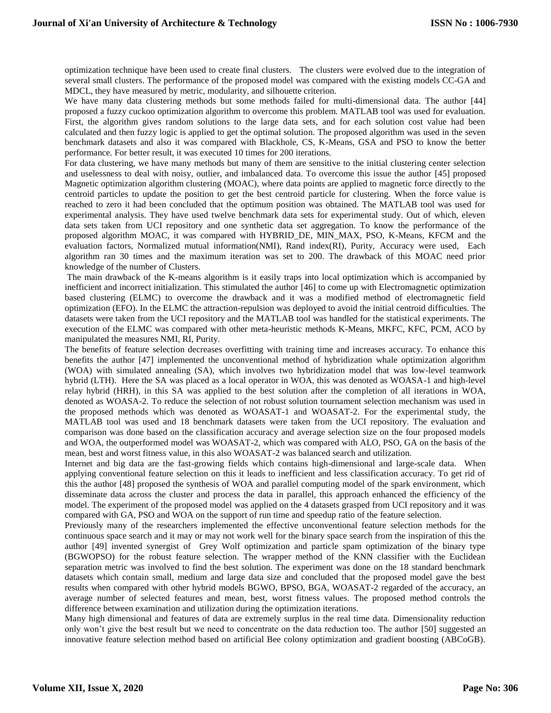optimization technique have been used to create final clusters. The clusters were evolved due to the integration of several small clusters. The performance of the proposed model was compared with the existing models CC-GA and MDCL, they have measured by metric, modularity, and silhouette criterion.

We have many data clustering methods but some methods failed for multi-dimensional data. The author [44] proposed a fuzzy cuckoo optimization algorithm to overcome this problem. MATLAB tool was used for evaluation. First, the algorithm gives random solutions to the large data sets, and for each solution cost value had been calculated and then fuzzy logic is applied to get the optimal solution. The proposed algorithm was used in the seven benchmark datasets and also it was compared with Blackhole, CS, K-Means, GSA and PSO to know the better performance. For better result, it was executed 10 times for 200 iterations.

For data clustering, we have many methods but many of them are sensitive to the initial clustering center selection and uselessness to deal with noisy, outlier, and imbalanced data. To overcome this issue the author [45] proposed Magnetic optimization algorithm clustering (MOAC), where data points are applied to magnetic force directly to the centroid particles to update the position to get the best centroid particle for clustering. When the force value is reached to zero it had been concluded that the optimum position was obtained. The MATLAB tool was used for experimental analysis. They have used twelve benchmark data sets for experimental study. Out of which, eleven data sets taken from UCI repository and one synthetic data set aggregation. To know the performance of the proposed algorithm MOAC, it was compared with HYBRID\_DE, MIN\_MAX, PSO, K-Means, KFCM and the evaluation factors, Normalized mutual information(NMI), Rand index(RI), Purity, Accuracy were used, Each algorithm ran 30 times and the maximum iteration was set to 200. The drawback of this MOAC need prior knowledge of the number of Clusters.

The main drawback of the K-means algorithm is it easily traps into local optimization which is accompanied by inefficient and incorrect initialization. This stimulated the author [46] to come up with Electromagnetic optimization based clustering (ELMC) to overcome the drawback and it was a modified method of electromagnetic field optimization (EFO). In the ELMC the attraction-repulsion was deployed to avoid the initial centroid difficulties. The datasets were taken from the UCI repository and the MATLAB tool was handled for the statistical experiments. The execution of the ELMC was compared with other meta-heuristic methods K-Means, MKFC, KFC, PCM, ACO by manipulated the measures NMI, RI, Purity.

The benefits of feature selection decreases overfitting with training time and increases accuracy. To enhance this benefits the author [47] implemented the unconventional method of hybridization whale optimization algorithm (WOA) with simulated annealing (SA), which involves two hybridization model that was low-level teamwork hybrid (LTH). Here the SA was placed as a local operator in WOA, this was denoted as WOASA-1 and high-level relay hybrid (HRH), in this SA was applied to the best solution after the completion of all iterations in WOA, denoted as WOASA-2. To reduce the selection of not robust solution tournament selection mechanism was used in the proposed methods which was denoted as WOASAT-1 and WOASAT-2. For the experimental study, the MATLAB tool was used and 18 benchmark datasets were taken from the UCI repository. The evaluation and comparison was done based on the classification accuracy and average selection size on the four proposed models and WOA, the outperformed model was WOASAT-2, which was compared with ALO, PSO, GA on the basis of the mean, best and worst fitness value, in this also WOASAT-2 was balanced search and utilization.

Internet and big data are the fast-growing fields which contains high-dimensional and large-scale data. When applying conventional feature selection on this it leads to inefficient and less classification accuracy. To get rid of this the author [48] proposed the synthesis of WOA and parallel computing model of the spark environment, which disseminate data across the cluster and process the data in parallel, this approach enhanced the efficiency of the model. The experiment of the proposed model was applied on the 4 datasets grasped from UCI repository and it was compared with GA, PSO and WOA on the support of run time and speedup ratio of the feature selection.

Previously many of the researchers implemented the effective unconventional feature selection methods for the continuous space search and it may or may not work well for the binary space search from the inspiration of this the author [49] invented synergist of Grey Wolf optimization and particle spam optimization of the binary type (BGWOPSO) for the robust feature selection. The wrapper method of the KNN classifier with the Euclidean separation metric was involved to find the best solution. The experiment was done on the 18 standard benchmark datasets which contain small, medium and large data size and concluded that the proposed model gave the best results when compared with other hybrid models BGWO, BPSO, BGA, WOASAT-2 regarded of the accuracy, an average number of selected features and mean, best, worst fitness values. The proposed method controls the difference between examination and utilization during the optimization iterations.

Many high dimensional and features of data are extremely surplus in the real time data. Dimensionality reduction only won't give the best result but we need to concentrate on the data reduction too. The author [50] suggested an innovative feature selection method based on artificial Bee colony optimization and gradient boosting (ABCoGB).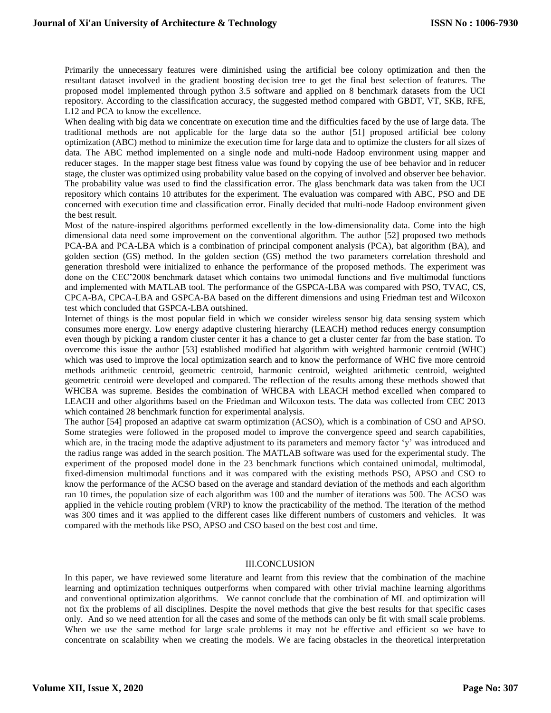Primarily the unnecessary features were diminished using the artificial bee colony optimization and then the resultant dataset involved in the gradient boosting decision tree to get the final best selection of features. The proposed model implemented through python 3.5 software and applied on 8 benchmark datasets from the UCI repository. According to the classification accuracy, the suggested method compared with GBDT, VT, SKB, RFE, L12 and PCA to know the excellence.

When dealing with big data we concentrate on execution time and the difficulties faced by the use of large data. The traditional methods are not applicable for the large data so the author [51] proposed artificial bee colony optimization (ABC) method to minimize the execution time for large data and to optimize the clusters for all sizes of data. The ABC method implemented on a single node and multi-node Hadoop environment using mapper and reducer stages. In the mapper stage best fitness value was found by copying the use of bee behavior and in reducer stage, the cluster was optimized using probability value based on the copying of involved and observer bee behavior. The probability value was used to find the classification error. The glass benchmark data was taken from the UCI repository which contains 10 attributes for the experiment. The evaluation was compared with ABC, PSO and DE concerned with execution time and classification error. Finally decided that multi-node Hadoop environment given the best result.

Most of the nature-inspired algorithms performed excellently in the low-dimensionality data. Come into the high dimensional data need some improvement on the conventional algorithm. The author [52] proposed two methods PCA-BA and PCA-LBA which is a combination of principal component analysis (PCA), bat algorithm (BA), and golden section (GS) method. In the golden section (GS) method the two parameters correlation threshold and generation threshold were initialized to enhance the performance of the proposed methods. The experiment was done on the CEC'2008 benchmark dataset which contains two unimodal functions and five multimodal functions and implemented with MATLAB tool. The performance of the GSPCA-LBA was compared with PSO, TVAC, CS, CPCA-BA, CPCA-LBA and GSPCA-BA based on the different dimensions and using Friedman test and Wilcoxon test which concluded that GSPCA-LBA outshined.

Internet of things is the most popular field in which we consider wireless sensor big data sensing system which consumes more energy. Low energy adaptive clustering hierarchy (LEACH) method reduces energy consumption even though by picking a random cluster center it has a chance to get a cluster center far from the base station. To overcome this issue the author [53] established modified bat algorithm with weighted harmonic centroid (WHC) which was used to improve the local optimization search and to know the performance of WHC five more centroid methods arithmetic centroid, geometric centroid, harmonic centroid, weighted arithmetic centroid, weighted geometric centroid were developed and compared. The reflection of the results among these methods showed that WHCBA was supreme. Besides the combination of WHCBA with LEACH method excelled when compared to LEACH and other algorithms based on the Friedman and Wilcoxon tests. The data was collected from CEC 2013 which contained 28 benchmark function for experimental analysis.

The author [54] proposed an adaptive cat swarm optimization (ACSO), which is a combination of CSO and APSO. Some strategies were followed in the proposed model to improve the convergence speed and search capabilities, which are, in the tracing mode the adaptive adjustment to its parameters and memory factor 'y' was introduced and the radius range was added in the search position. The MATLAB software was used for the experimental study. The experiment of the proposed model done in the 23 benchmark functions which contained unimodal, multimodal, fixed-dimension multimodal functions and it was compared with the existing methods PSO, APSO and CSO to know the performance of the ACSO based on the average and standard deviation of the methods and each algorithm ran 10 times, the population size of each algorithm was 100 and the number of iterations was 500. The ACSO was applied in the vehicle routing problem (VRP) to know the practicability of the method. The iteration of the method was 300 times and it was applied to the different cases like different numbers of customers and vehicles. It was compared with the methods like PSO, APSO and CSO based on the best cost and time.

#### III.CONCLUSION

In this paper, we have reviewed some literature and learnt from this review that the combination of the machine learning and optimization techniques outperforms when compared with other trivial machine learning algorithms and conventional optimization algorithms. We cannot conclude that the combination of ML and optimization will not fix the problems of all disciplines. Despite the novel methods that give the best results for that specific cases only. And so we need attention for all the cases and some of the methods can only be fit with small scale problems. When we use the same method for large scale problems it may not be effective and efficient so we have to concentrate on scalability when we creating the models. We are facing obstacles in the theoretical interpretation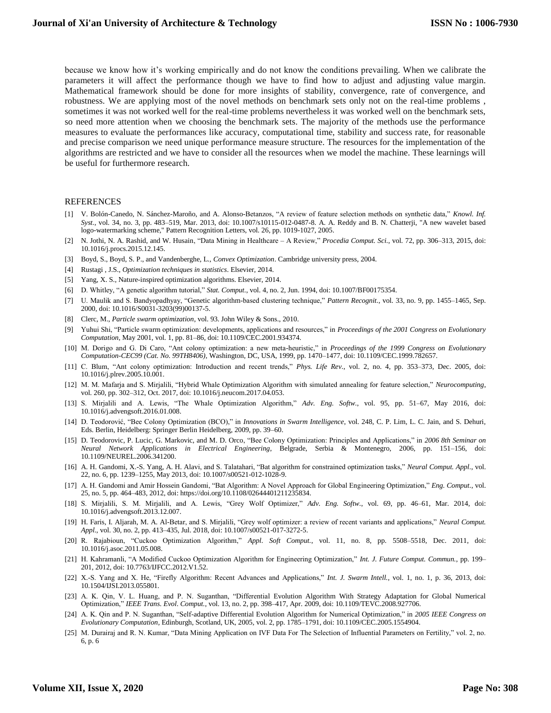because we know how it's working empirically and do not know the conditions prevailing. When we calibrate the parameters it will affect the performance though we have to find how to adjust and adjusting value margin. Mathematical framework should be done for more insights of stability, convergence, rate of convergence, and robustness. We are applying most of the novel methods on benchmark sets only not on the real-time problems, sometimes it was not worked well for the real-time problems nevertheless it was worked well on the benchmark sets, so need more attention when we choosing the benchmark sets. The majority of the methods use the performance measures to evaluate the performances like accuracy, computational time, stability and success rate, for reasonable and precise comparison we need unique performance measure structure. The resources for the implementation of the algorithms are restricted and we have to consider all the resources when we model the machine. These learnings will be useful for furthermore research.

#### REFERENCES

- [1] V. Bolón-Canedo, N. Sánchez-Maroño, and A. Alonso-Betanzos, "A review of feature selection methods on synthetic data," *Knowl. Inf. Syst.*, vol. 34, no. 3, pp. 483–519, Mar. 2013, doi: 10.1007/s10115-012-0487-8. A. A. Reddy and B. N. Chatterji, "A new wavelet based logo-watermarking scheme," Pattern Recognition Letters, vol. 26, pp. 1019-1027, 2005.
- [2] N. Jothi, N. A. Rashid, and W. Husain, "Data Mining in Healthcare A Review," *Procedia Comput. Sci.*, vol. 72, pp. 306–313, 2015, doi: 10.1016/j.procs.2015.12.145.
- [3] Boyd, S., Boyd, S. P., and Vandenberghe, L., *Convex Optimization*. Cambridge university press, 2004.
- [4] Rustagi , J.S., *Optimization techniques in statistics*. Elsevier, 2014.
- [5] Yang, X. S., Nature-inspired optimization algorithms. Elsevier, 2014.
- [6] D. Whitley, "A genetic algorithm tutorial," *Stat. Comput.*, vol. 4, no. 2, Jun. 1994, doi: 10.1007/BF00175354.
- [7] U. Maulik and S. Bandyopadhyay, "Genetic algorithm-based clustering technique," *Pattern Recognit.*, vol. 33, no. 9, pp. 1455–1465, Sep. 2000, doi: 10.1016/S0031-3203(99)00137-5.
- [8] Clerc, M., *Particle swarm optimization*, vol. 93. John Wiley & Sons., 2010.
- [9] Yuhui Shi, "Particle swarm optimization: developments, applications and resources," in *Proceedings of the 2001 Congress on Evolutionary Computation*, May 2001, vol. 1, pp. 81–86, doi: 10.1109/CEC.2001.934374.
- [10] M. Dorigo and G. Di Caro, "Ant colony optimization: a new meta-heuristic," in *Proceedings of the 1999 Congress on Evolutionary Computation-CEC99 (Cat. No. 99TH8406)*, Washington, DC, USA, 1999, pp. 1470–1477, doi: 10.1109/CEC.1999.782657.
- [11] C. Blum, "Ant colony optimization: Introduction and recent trends," *Phys. Life Rev.*, vol. 2, no. 4, pp. 353–373, Dec. 2005, doi: 10.1016/j.plrev.2005.10.001.
- [12] M. M. Mafarja and S. Mirjalili, "Hybrid Whale Optimization Algorithm with simulated annealing for feature selection," *Neurocomputing*, vol. 260, pp. 302–312, Oct. 2017, doi: 10.1016/j.neucom.2017.04.053.
- [13] S. Mirjalili and A. Lewis, "The Whale Optimization Algorithm," *Adv. Eng. Softw.*, vol. 95, pp. 51–67, May 2016, doi: 10.1016/j.advengsoft.2016.01.008.
- [14] D. Teodorović, "Bee Colony Optimization (BCO)," in *Innovations in Swarm Intelligence*, vol. 248, C. P. Lim, L. C. Jain, and S. Dehuri, Eds. Berlin, Heidelberg: Springer Berlin Heidelberg, 2009, pp. 39–60.
- [15] D. Teodorovic, P. Lucic, G. Markovic, and M. D. Orco, "Bee Colony Optimization: Principles and Applications," in *2006 8th Seminar on Neural Network Applications in Electrical Engineering*, Belgrade, Serbia & Montenegro, 2006, pp. 151–156, doi: 10.1109/NEUREL.2006.341200.
- [16] A. H. Gandomi, X.-S. Yang, A. H. Alavi, and S. Talatahari, "Bat algorithm for constrained optimization tasks," *Neural Comput. Appl.*, vol. 22, no. 6, pp. 1239–1255, May 2013, doi: 10.1007/s00521-012-1028-9.
- [17] A. H. Gandomi and Amir Hossein Gandomi, "Bat Algorithm: A Novel Approach for Global Engineering Optimization," *Eng. Comput.*, vol. 25, no. 5, pp. 464–483, 2012, doi: https://doi.org/10.1108/02644401211235834.
- [18] S. Mirjalili, S. M. Mirjalili, and A. Lewis, "Grey Wolf Optimizer," *Adv. Eng. Softw.*, vol. 69, pp. 46–61, Mar. 2014, doi: 10.1016/j.advengsoft.2013.12.007.
- [19] H. Faris, I. Aljarah, M. A. Al-Betar, and S. Mirjalili, "Grey wolf optimizer: a review of recent variants and applications," *Neural Comput. Appl.*, vol. 30, no. 2, pp. 413–435, Jul. 2018, doi: 10.1007/s00521-017-3272-5.
- [20] R. Rajabioun, "Cuckoo Optimization Algorithm," *Appl. Soft Comput.*, vol. 11, no. 8, pp. 5508–5518, Dec. 2011, doi: 10.1016/j.asoc.2011.05.008.
- [21] H. Kahramanli, "A Modified Cuckoo Optimization Algorithm for Engineering Optimization," *Int. J. Future Comput. Commun.*, pp. 199– 201, 2012, doi: 10.7763/IJFCC.2012.V1.52.
- [22] X.-S. Yang and X. He, "Firefly Algorithm: Recent Advances and Applications," *Int. J. Swarm Intell.*, vol. 1, no. 1, p. 36, 2013, doi: 10.1504/IJSI.2013.055801.
- [23] A. K. Qin, V. L. Huang, and P. N. Suganthan, "Differential Evolution Algorithm With Strategy Adaptation for Global Numerical Optimization," *IEEE Trans. Evol. Comput.*, vol. 13, no. 2, pp. 398–417, Apr. 2009, doi: 10.1109/TEVC.2008.927706.
- [24] A. K. Qin and P. N. Suganthan, "Self-adaptive Differential Evolution Algorithm for Numerical Optimization," in *2005 IEEE Congress on Evolutionary Computation*, Edinburgh, Scotland, UK, 2005, vol. 2, pp. 1785–1791, doi: 10.1109/CEC.2005.1554904.
- [25] M. Durairaj and R. N. Kumar, "Data Mining Application on IVF Data For The Selection of Influential Parameters on Fertility," vol. 2, no. 6, p. 6